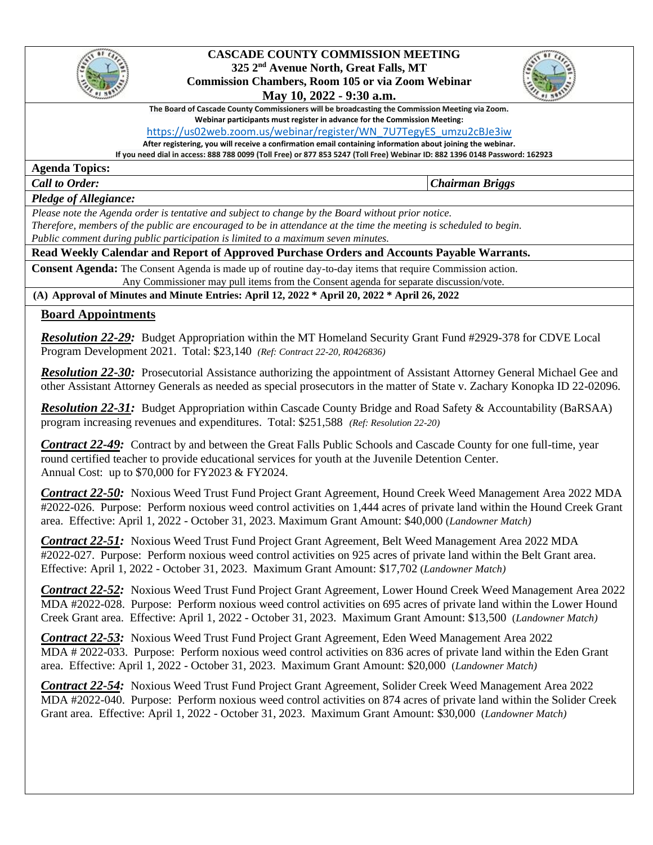

#### **CASCADE COUNTY COMMISSION MEETING 325 2nd Avenue North, Great Falls, MT Commission Chambers, Room 105 or via Zoom Webinar**

# **May 10, 2022 - 9:30 a.m.**



**The Board of Cascade County Commissioners will be broadcasting the Commission Meeting via Zoom. Webinar participants must register in advance for the Commission Meeting:** 

#### [https://us02web.zoom.us/webinar/register/WN\\_7U7TegyES\\_umzu2cBJe3iw](https://us02web.zoom.us/webinar/register/WN_7U7TegyES_umzu2cBJe3iw)

**After registering, you will receive a confirmation email containing information about joining the webinar.** 

**If you need dial in access: 888 788 0099 (Toll Free) or 877 853 5247 (Toll Free) Webinar ID: 882 1396 0148 Password: 162923**

**Agenda Topics:** 

*Call to Order: Chairman Briggs*

#### *Pledge of Allegiance:*

 *Please note the Agenda order is tentative and subject to change by the Board without prior notice. Therefore, members of the public are encouraged to be in attendance at the time the meeting is scheduled to begin. Public comment during public participation is limited to a maximum seven minutes.*

## **Read Weekly Calendar and Report of Approved Purchase Orders and Accounts Payable Warrants.**

**Consent Agenda:** The Consent Agenda is made up of routine day-to-day items that require Commission action. Any Commissioner may pull items from the Consent agenda for separate discussion/vote.

**(A) Approval of Minutes and Minute Entries: April 12, 2022 \* April 20, 2022 \* April 26, 2022**

### **Board Appointments**

*Resolution 22-29:* Budget Appropriation within the MT Homeland Security Grant Fund #2929-378 for CDVE Local Program Development 2021. Total: \$23,140 *(Ref: Contract 22-20, R0426836)*

*Resolution 22-30:* Prosecutorial Assistance authorizing the appointment of Assistant Attorney General Michael Gee and other Assistant Attorney Generals as needed as special prosecutors in the matter of State v. Zachary Konopka ID 22-02096.

*Resolution 22-31:* Budget Appropriation within Cascade County Bridge and Road Safety & Accountability (BaRSAA) program increasing revenues and expenditures. Total: \$251,588 *(Ref: Resolution 22-20)*

*Contract 22-49:* Contract by and between the Great Falls Public Schools and Cascade County for one full-time, year round certified teacher to provide educational services for youth at the Juvenile Detention Center. Annual Cost: up to \$70,000 for FY2023 & FY2024.

*Contract 22-50:* Noxious Weed Trust Fund Project Grant Agreement, Hound Creek Weed Management Area 2022 MDA #2022-026. Purpose: Perform noxious weed control activities on 1,444 acres of private land within the Hound Creek Grant area. Effective: April 1, 2022 - October 31, 2023. Maximum Grant Amount: \$40,000 (*Landowner Match)*

*Contract 22-51:* Noxious Weed Trust Fund Project Grant Agreement, Belt Weed Management Area 2022 MDA #2022-027. Purpose: Perform noxious weed control activities on 925 acres of private land within the Belt Grant area. Effective: April 1, 2022 - October 31, 2023. Maximum Grant Amount: \$17,702 (*Landowner Match)*

*Contract 22-52:* Noxious Weed Trust Fund Project Grant Agreement, Lower Hound Creek Weed Management Area 2022 MDA #2022-028. Purpose: Perform noxious weed control activities on 695 acres of private land within the Lower Hound Creek Grant area. Effective: April 1, 2022 - October 31, 2023. Maximum Grant Amount: \$13,500 (*Landowner Match)*

*Contract 22-53:* Noxious Weed Trust Fund Project Grant Agreement, Eden Weed Management Area 2022 MDA # 2022-033. Purpose: Perform noxious weed control activities on 836 acres of private land within the Eden Grant area. Effective: April 1, 2022 - October 31, 2023. Maximum Grant Amount: \$20,000 (*Landowner Match)*

*Contract 22-54:* Noxious Weed Trust Fund Project Grant Agreement, Solider Creek Weed Management Area 2022 MDA #2022-040. Purpose: Perform noxious weed control activities on 874 acres of private land within the Solider Creek Grant area. Effective: April 1, 2022 - October 31, 2023. Maximum Grant Amount: \$30,000 (*Landowner Match)*